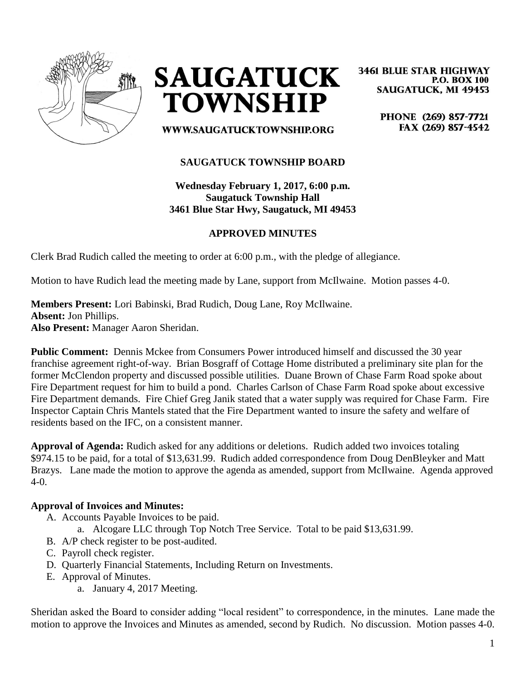



**3461 BLUE STAR HIGHWAY P.O. BOX 100 SAUGATUCK, MI 49453** 

> PHONE (269) 857-7721 FAX (269) 857-4542

WWW.SAUGATUCKTOWNSHIP.ORG

# **SAUGATUCK TOWNSHIP BOARD**

**Wednesday February 1, 2017, 6:00 p.m. Saugatuck Township Hall 3461 Blue Star Hwy, Saugatuck, MI 49453**

# **APPROVED MINUTES**

Clerk Brad Rudich called the meeting to order at 6:00 p.m., with the pledge of allegiance.

Motion to have Rudich lead the meeting made by Lane, support from McIlwaine. Motion passes 4-0.

**Members Present:** Lori Babinski, Brad Rudich, Doug Lane, Roy McIlwaine. **Absent:** Jon Phillips. **Also Present:** Manager Aaron Sheridan.

**Public Comment:** Dennis Mckee from Consumers Power introduced himself and discussed the 30 year franchise agreement right-of-way. Brian Bosgraff of Cottage Home distributed a preliminary site plan for the former McClendon property and discussed possible utilities. Duane Brown of Chase Farm Road spoke about Fire Department request for him to build a pond. Charles Carlson of Chase Farm Road spoke about excessive Fire Department demands. Fire Chief Greg Janik stated that a water supply was required for Chase Farm. Fire Inspector Captain Chris Mantels stated that the Fire Department wanted to insure the safety and welfare of residents based on the IFC, on a consistent manner.

**Approval of Agenda:** Rudich asked for any additions or deletions. Rudich added two invoices totaling \$974.15 to be paid, for a total of \$13,631.99. Rudich added correspondence from Doug DenBleyker and Matt Brazys. Lane made the motion to approve the agenda as amended, support from McIlwaine. Agenda approved 4-0.

## **Approval of Invoices and Minutes:**

- A. Accounts Payable Invoices to be paid.
	- a. Alcogare LLC through Top Notch Tree Service. Total to be paid \$13,631.99.
- B. A/P check register to be post-audited.
- C. Payroll check register.
- D. Quarterly Financial Statements, Including Return on Investments.
- E. Approval of Minutes.
	- a. January 4, 2017 Meeting.

Sheridan asked the Board to consider adding "local resident" to correspondence, in the minutes. Lane made the motion to approve the Invoices and Minutes as amended, second by Rudich. No discussion. Motion passes 4-0.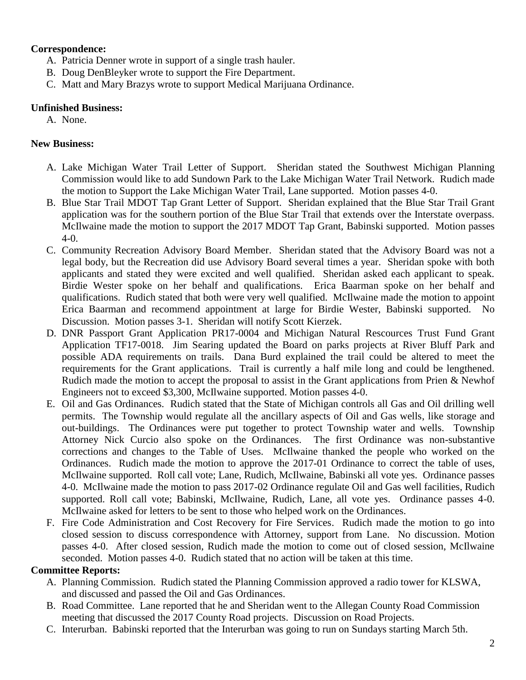### **Correspondence:**

- A. Patricia Denner wrote in support of a single trash hauler.
- B. Doug DenBleyker wrote to support the Fire Department.
- C. Matt and Mary Brazys wrote to support Medical Marijuana Ordinance.

## **Unfinished Business:**

A. None.

# **New Business:**

- A. Lake Michigan Water Trail Letter of Support. Sheridan stated the Southwest Michigan Planning Commission would like to add Sundown Park to the Lake Michigan Water Trail Network. Rudich made the motion to Support the Lake Michigan Water Trail, Lane supported. Motion passes 4-0.
- B. Blue Star Trail MDOT Tap Grant Letter of Support. Sheridan explained that the Blue Star Trail Grant application was for the southern portion of the Blue Star Trail that extends over the Interstate overpass. McIlwaine made the motion to support the 2017 MDOT Tap Grant, Babinski supported. Motion passes 4-0.
- C. Community Recreation Advisory Board Member. Sheridan stated that the Advisory Board was not a legal body, but the Recreation did use Advisory Board several times a year. Sheridan spoke with both applicants and stated they were excited and well qualified. Sheridan asked each applicant to speak. Birdie Wester spoke on her behalf and qualifications. Erica Baarman spoke on her behalf and qualifications. Rudich stated that both were very well qualified. McIlwaine made the motion to appoint Erica Baarman and recommend appointment at large for Birdie Wester, Babinski supported. No Discussion. Motion passes 3-1. Sheridan will notify Scott Kierzek.
- D. DNR Passport Grant Application PR17-0004 and Michigan Natural Rescources Trust Fund Grant Application TF17-0018. Jim Searing updated the Board on parks projects at River Bluff Park and possible ADA requirements on trails. Dana Burd explained the trail could be altered to meet the requirements for the Grant applications. Trail is currently a half mile long and could be lengthened. Rudich made the motion to accept the proposal to assist in the Grant applications from Prien & Newhof Engineers not to exceed \$3,300, McIlwaine supported. Motion passes 4-0.
- E. Oil and Gas Ordinances. Rudich stated that the State of Michigan controls all Gas and Oil drilling well permits. The Township would regulate all the ancillary aspects of Oil and Gas wells, like storage and out-buildings. The Ordinances were put together to protect Township water and wells. Township Attorney Nick Curcio also spoke on the Ordinances. The first Ordinance was non-substantive corrections and changes to the Table of Uses. McIlwaine thanked the people who worked on the Ordinances. Rudich made the motion to approve the 2017-01 Ordinance to correct the table of uses, McIlwaine supported. Roll call vote; Lane, Rudich, McIlwaine, Babinski all vote yes. Ordinance passes 4-0. McIlwaine made the motion to pass 2017-02 Ordinance regulate Oil and Gas well facilities, Rudich supported. Roll call vote; Babinski, McIlwaine, Rudich, Lane, all vote yes. Ordinance passes 4-0. McIlwaine asked for letters to be sent to those who helped work on the Ordinances.
- F. Fire Code Administration and Cost Recovery for Fire Services. Rudich made the motion to go into closed session to discuss correspondence with Attorney, support from Lane. No discussion. Motion passes 4-0. After closed session, Rudich made the motion to come out of closed session, McIlwaine seconded. Motion passes 4-0. Rudich stated that no action will be taken at this time.

## **Committee Reports:**

- A. Planning Commission. Rudich stated the Planning Commission approved a radio tower for KLSWA, and discussed and passed the Oil and Gas Ordinances.
- B. Road Committee. Lane reported that he and Sheridan went to the Allegan County Road Commission meeting that discussed the 2017 County Road projects. Discussion on Road Projects.
- C. Interurban. Babinski reported that the Interurban was going to run on Sundays starting March 5th.